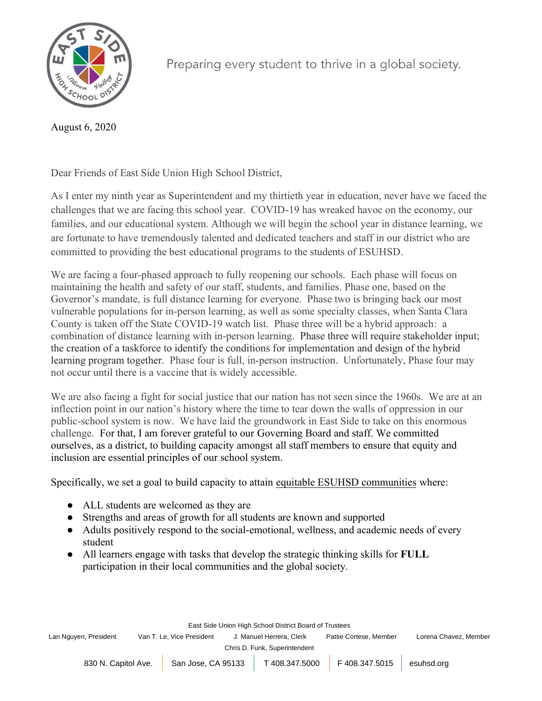

August 6, 2020

Preparing every student to thrive in a global society.

Dear Friends of East Side Union High School District,

As I enter my ninth year as Superintendent and my thirtieth year in education, never have we faced the challenges that we are facing this school year. COVID-19 has wreaked havoc on the economy, our families, and our educational system. Although we will begin the school year in distance learning, we are fortunate to have tremendously talented and dedicated teachers and staff in our district who are committed to providing the best educational programs to the students of ESUHSD.

We are facing a four-phased approach to fully reopening our schools. Each phase will focus on maintaining the health and safety of our staff, students, and families. Phase one, based on the Governor's mandate, is full distance learning for everyone. Phase two is bringing back our most vulnerable populations for in-person learning, as well as some specialty classes, when Santa Clara County is taken off the State COVID-19 watch list. Phase three will be a hybrid approach: a combination of distance learning with in-person learning. Phase three will require stakeholder input; the creation of a taskforce to identify the conditions for implementation and design of the hybrid learning program together. Phase four is full, in-person instruction. Unfortunately, Phase four may not occur until there is a vaccine that is widely accessible.

We are also facing a fight for social justice that our nation has not seen since the 1960s. We are at an inflection point in our nation's history where the time to tear down the walls of oppression in our public-school system is now. We have laid the groundwork in East Side to take on this enormous challenge. For that, I am forever grateful to our Governing Board and staff. We committed ourselves, as a district, to building capacity amongst all staff members to ensure that equity and inclusion are essential principles of our school system.

Specifically, we set a goal to build capacity to attain equitable ESUHSD communities where:

- ALL students are welcomed as they are
- Strengths and areas of growth for all students are known and supported
- Adults positively respond to the social-emotional, wellness, and academic needs of every student
- All learners engage with tasks that develop the strategic thinking skills for **FULL** participation in their local communities and the global society.

East Side Union High School District Board of Trustees

Lan Nguyen, President Van T. Le, Vice President J. Manuel Herrera, Clerk Pattie Cortese, Member Lorena Chavez, Member

Chris D. Funk, Superintendent